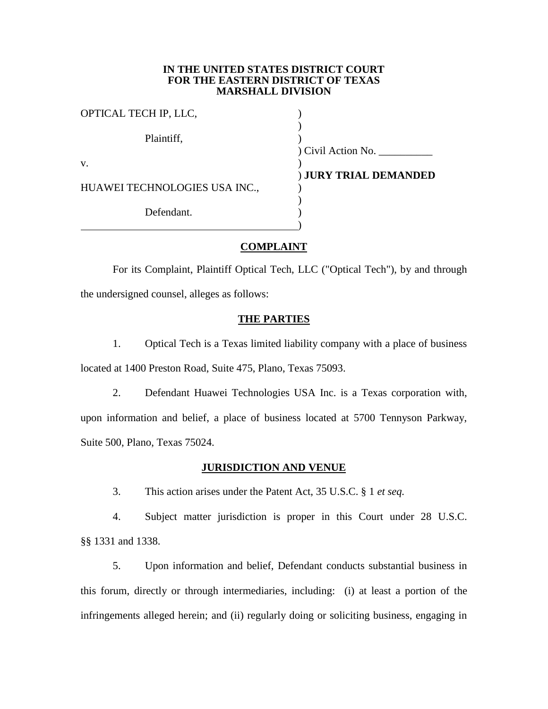## **IN THE UNITED STATES DISTRICT COURT FOR THE EASTERN DISTRICT OF TEXAS MARSHALL DIVISION**

| OPTICAL TECH IP, LLC,         |                       |
|-------------------------------|-----------------------|
| Plaintiff,                    | Civil Action No.      |
| V.                            |                       |
|                               | ) JURY TRIAL DEMANDED |
| HUAWEI TECHNOLOGIES USA INC., |                       |
| Defendant.                    |                       |

# **COMPLAINT**

For its Complaint, Plaintiff Optical Tech, LLC ("Optical Tech"), by and through the undersigned counsel, alleges as follows:

# **THE PARTIES**

1. Optical Tech is a Texas limited liability company with a place of business located at 1400 Preston Road, Suite 475, Plano, Texas 75093.

2. Defendant Huawei Technologies USA Inc. is a Texas corporation with, upon information and belief, a place of business located at 5700 Tennyson Parkway, Suite 500, Plano, Texas 75024.

# **JURISDICTION AND VENUE**

3. This action arises under the Patent Act, 35 U.S.C. § 1 *et seq.*

4. Subject matter jurisdiction is proper in this Court under 28 U.S.C. §§ 1331 and 1338.

5. Upon information and belief, Defendant conducts substantial business in this forum, directly or through intermediaries, including: (i) at least a portion of the infringements alleged herein; and (ii) regularly doing or soliciting business, engaging in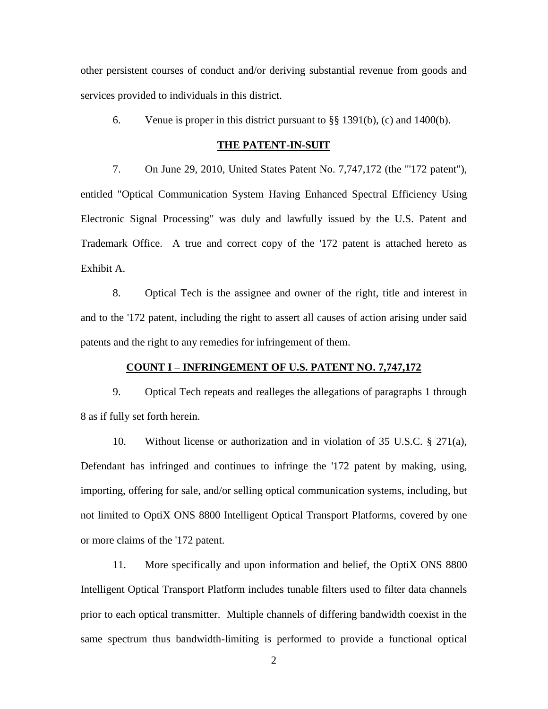other persistent courses of conduct and/or deriving substantial revenue from goods and services provided to individuals in this district.

6. Venue is proper in this district pursuant to  $\S$ § 1391(b), (c) and 1400(b).

### **THE PATENT-IN-SUIT**

7. On June 29, 2010, United States Patent No. 7,747,172 (the "'172 patent"), entitled "Optical Communication System Having Enhanced Spectral Efficiency Using Electronic Signal Processing" was duly and lawfully issued by the U.S. Patent and Trademark Office. A true and correct copy of the '172 patent is attached hereto as Exhibit A.

8. Optical Tech is the assignee and owner of the right, title and interest in and to the '172 patent, including the right to assert all causes of action arising under said patents and the right to any remedies for infringement of them.

## **COUNT I – INFRINGEMENT OF U.S. PATENT NO. 7,747,172**

9. Optical Tech repeats and realleges the allegations of paragraphs 1 through 8 as if fully set forth herein.

10. Without license or authorization and in violation of 35 U.S.C. § 271(a), Defendant has infringed and continues to infringe the '172 patent by making, using, importing, offering for sale, and/or selling optical communication systems, including, but not limited to OptiX ONS 8800 Intelligent Optical Transport Platforms, covered by one or more claims of the '172 patent.

11. More specifically and upon information and belief, the OptiX ONS 8800 Intelligent Optical Transport Platform includes tunable filters used to filter data channels prior to each optical transmitter. Multiple channels of differing bandwidth coexist in the same spectrum thus bandwidth-limiting is performed to provide a functional optical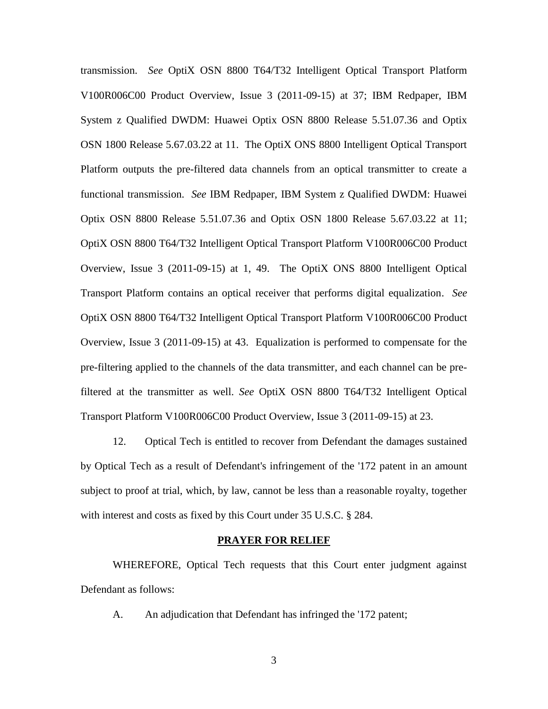transmission. *See* OptiX OSN 8800 T64/T32 Intelligent Optical Transport Platform V100R006C00 Product Overview, Issue 3 (2011-09-15) at 37; IBM Redpaper, IBM System z Qualified DWDM: Huawei Optix OSN 8800 Release 5.51.07.36 and Optix OSN 1800 Release 5.67.03.22 at 11. The OptiX ONS 8800 Intelligent Optical Transport Platform outputs the pre-filtered data channels from an optical transmitter to create a functional transmission. *See* IBM Redpaper, IBM System z Qualified DWDM: Huawei Optix OSN 8800 Release 5.51.07.36 and Optix OSN 1800 Release 5.67.03.22 at 11; OptiX OSN 8800 T64/T32 Intelligent Optical Transport Platform V100R006C00 Product Overview, Issue 3 (2011-09-15) at 1, 49. The OptiX ONS 8800 Intelligent Optical Transport Platform contains an optical receiver that performs digital equalization. *See* OptiX OSN 8800 T64/T32 Intelligent Optical Transport Platform V100R006C00 Product Overview, Issue 3 (2011-09-15) at 43. Equalization is performed to compensate for the pre-filtering applied to the channels of the data transmitter, and each channel can be prefiltered at the transmitter as well. *See* OptiX OSN 8800 T64/T32 Intelligent Optical Transport Platform V100R006C00 Product Overview, Issue 3 (2011-09-15) at 23.

12. Optical Tech is entitled to recover from Defendant the damages sustained by Optical Tech as a result of Defendant's infringement of the '172 patent in an amount subject to proof at trial, which, by law, cannot be less than a reasonable royalty, together with interest and costs as fixed by this Court under 35 U.S.C. § 284.

#### **PRAYER FOR RELIEF**

WHEREFORE, Optical Tech requests that this Court enter judgment against Defendant as follows:

A. An adjudication that Defendant has infringed the '172 patent;

3